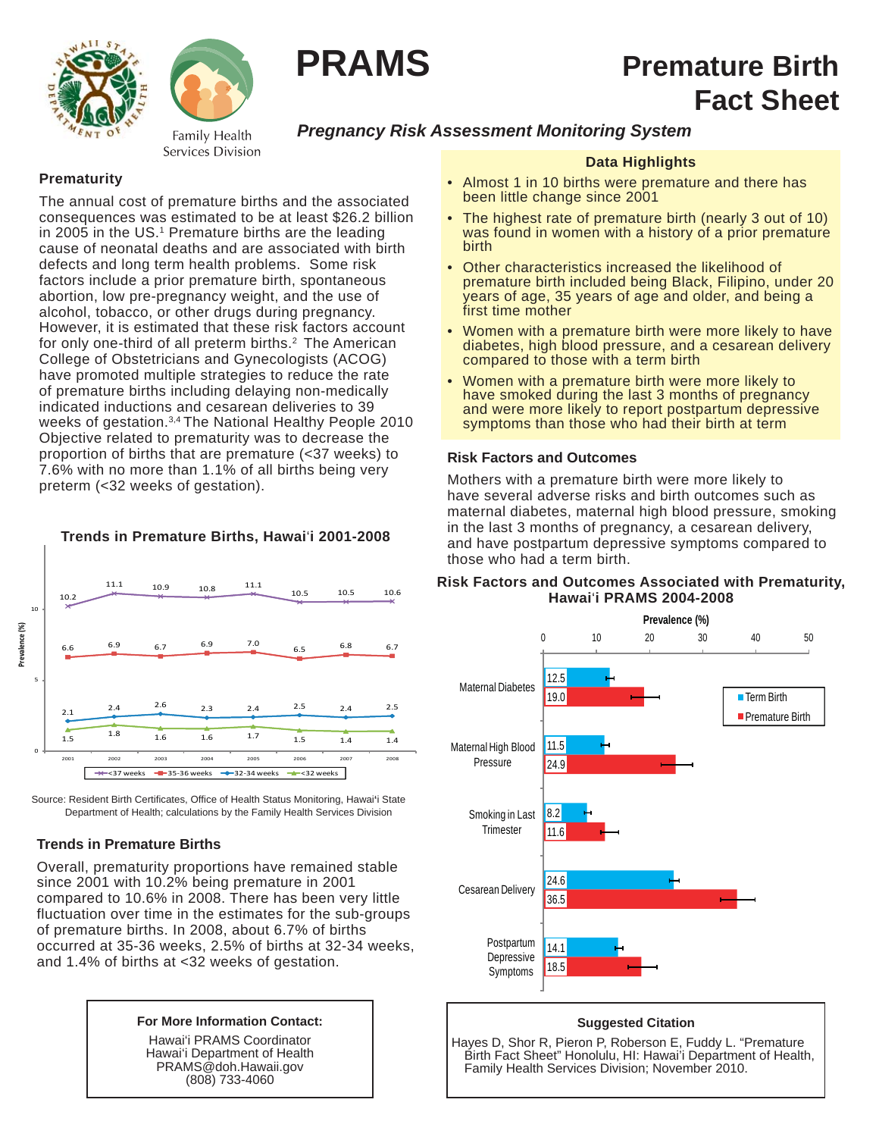



#### Family Health Services Division

# *Pregnancy Risk Assessment Monitoring System*

**PRAMS** Premature Birth

# **Prematurity**

The annual cost of premature births and the associated consequences was estimated to be at least \$26.2 billion in 2005 in the US.<sup>1</sup> Premature births are the leading cause of neonatal deaths and are associated with birth defects and long term health problems. Some risk factors include a prior premature birth, spontaneous abortion, low pre-pregnancy weight, and the use of alcohol, tobacco, or other drugs during pregnancy. However, it is estimated that these risk factors account for only one-third of all preterm births.<sup>2</sup> The American College of Obstetricians and Gynecologists (ACOG) have promoted multiple strategies to reduce the rate of premature births including delaying non-medically indicated inductions and cesarean deliveries to 39 weeks of gestation.3,4 The National Healthy People 2010 Objective related to prematurity was to decrease the proportion of births that are premature (<37 weeks) to 7.6% with no more than 1.1% of all births being very preterm (<32 weeks of gestation).



**Trends in Premature Births, Hawai**'**i 2001-2008**

Source: Resident Birth Certificates, Office of Health Status Monitoring, Hawai'i State Department of Health; calculations by the Family Health Services Division

# **Trends in Premature Births**

Overall, prematurity proportions have remained stable since 2001 with 10.2% being premature in 2001 compared to 10.6% in 2008. There has been very little fluctuation over time in the estimates for the sub-groups of premature births. In 2008, about 6.7% of births occurred at 35-36 weeks, 2.5% of births at 32-34 weeks, and 1.4% of births at <32 weeks of gestation.



Hawai'i PRAMS Coordinator Hawai'i Department of Health PRAMS@doh.Hawaii.gov (808) 733-4060

# **Data Highlights**

**Fact Sheet**

- Almost 1 in 10 births were premature and there has been little change since 2001
- The highest rate of premature birth (nearly 3 out of 10) was found in women with a history of a prior premature birth
- Other characteristics increased the likelihood of premature birth included being Black, Filipino, under 20 years of age, 35 years of age and older, and being a first time mother
- Women with a premature birth were more likely to have diabetes, high blood pressure, and a cesarean delivery compared to those with a term birth
- Women with a premature birth were more likely to have smoked during the last 3 months of pregnancy and were more likely to report postpartum depressive symptoms than those who had their birth at term

## **Risk Factors and Outcomes**

Mothers with a premature birth were more likely to have several adverse risks and birth outcomes such as maternal diabetes, maternal high blood pressure, smoking in the last 3 months of pregnancy, a cesarean delivery, and have postpartum depressive symptoms compared to those who had a term birth.

## **Risk Factors and Outcomes Associated with Prematurity, Hawai**'**i PRAMS 2004-2008**



### **Suggested Citation**

Hayes D, Shor R, Pieron P, Roberson E, Fuddy L. "Premature Birth Fact Sheet" Honolulu, HI: Hawai'i Department of Health, Family Health Services Division; November 2010.